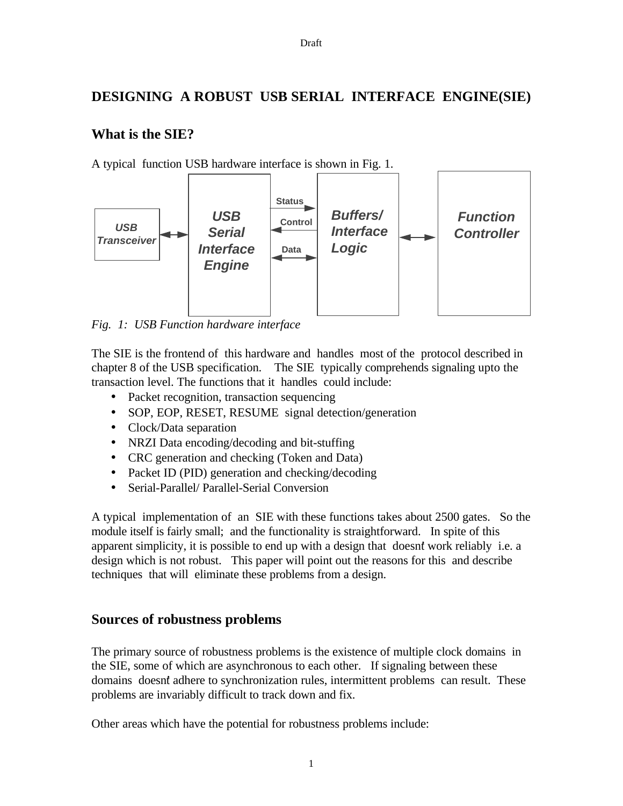# **DESIGNING A ROBUST USB SERIAL INTERFACE ENGINE(SIE)**

# **What is the SIE?**

A typical function USB hardware interface is shown in Fig. 1.



*Fig. 1: USB Function hardware interface*

The SIE is the frontend of this hardware and handles most of the protocol described in chapter 8 of the USB specification. The SIE typically comprehends signaling upto the transaction level. The functions that it handles could include:

- Packet recognition, transaction sequencing
- SOP, EOP, RESET, RESUME signal detection/generation
- Clock/Data separation
- NRZI Data encoding/decoding and bit-stuffing
- CRC generation and checking (Token and Data)
- Packet ID (PID) generation and checking/decoding
- Serial-Parallel/ Parallel-Serial Conversion

A typical implementation of an SIE with these functions takes about 2500 gates. So the module itself is fairly small; and the functionality is straightforward. In spite of this apparent simplicity, it is possible to end up with a design that doesn't work reliably i.e. a design which is not robust. This paper will point out the reasons for this and describe techniques that will eliminate these problems from a design.

# **Sources of robustness problems**

The primary source of robustness problems is the existence of multiple clock domains in the SIE, some of which are asynchronous to each other. If signaling between these domains doesn't adhere to synchronization rules, intermittent problems can result. These problems are invariably difficult to track down and fix.

Other areas which have the potential for robustness problems include: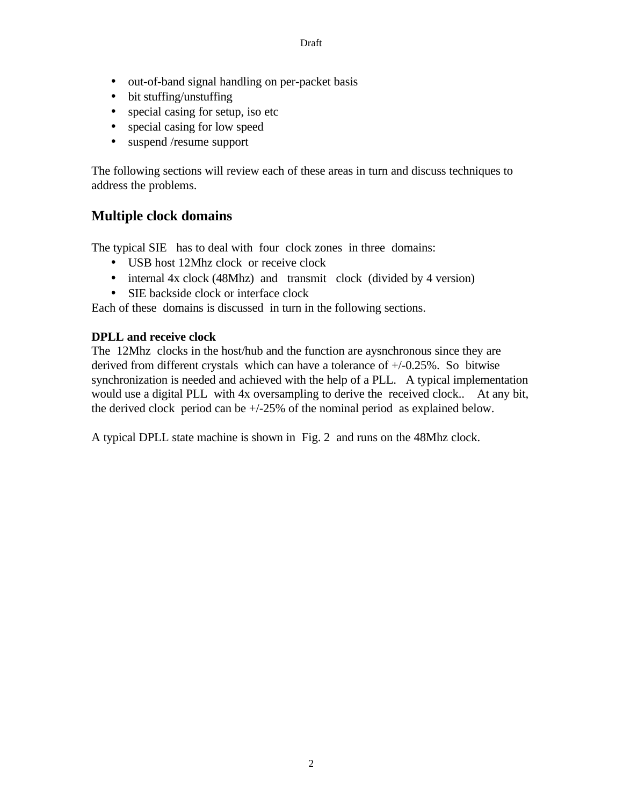- out-of-band signal handling on per-packet basis
- bit stuffing/unstuffing
- special casing for setup, iso etc
- special casing for low speed
- suspend /resume support

The following sections will review each of these areas in turn and discuss techniques to address the problems.

# **Multiple clock domains**

The typical SIE has to deal with four clock zones in three domains:

- USB host 12Mhz clock or receive clock
- internal 4x clock (48Mhz) and transmit clock (divided by 4 version)
- SIE backside clock or interface clock

Each of these domains is discussed in turn in the following sections.

## **DPLL and receive clock**

The 12Mhz clocks in the host/hub and the function are aysnchronous since they are derived from different crystals which can have a tolerance of +/-0.25%. So bitwise synchronization is needed and achieved with the help of a PLL. A typical implementation would use a digital PLL with 4x oversampling to derive the received clock.. At any bit, the derived clock period can be +/-25% of the nominal period as explained below.

A typical DPLL state machine is shown in Fig. 2 and runs on the 48Mhz clock.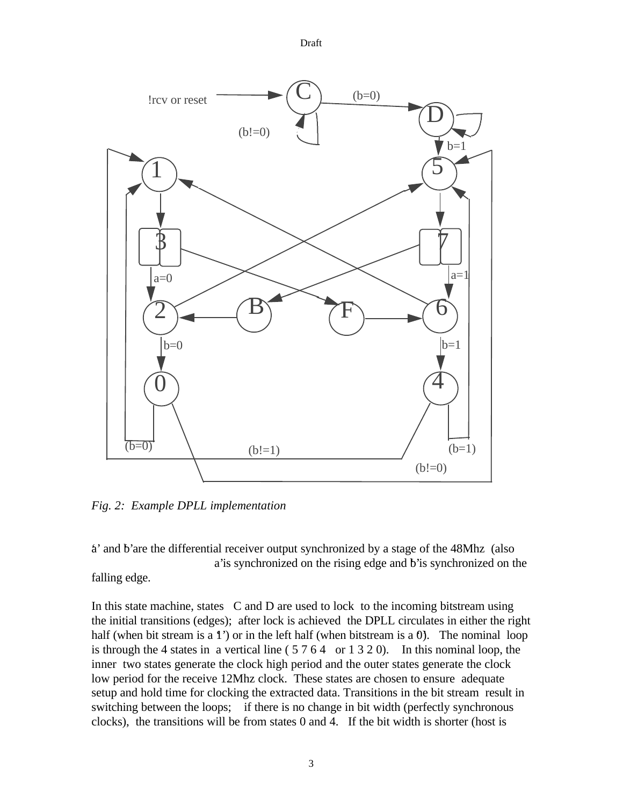Draft



*Fig. 2: Example DPLL implementation*

'a' and 'b' are the differential receiver output synchronized by a stage of the 48Mhz (also a' is synchronized on the rising edge and b' is synchronized on the falling edge.

In this state machine, states C and D are used to lock to the incoming bitstream using the initial transitions (edges); after lock is achieved the DPLL circulates in either the right half (when bit stream is a  $1'$ ) or in the left half (when bitstream is a 0). The nominal loop is through the 4 states in a vertical line  $(5764 \text{ or } 1320)$ . In this nominal loop, the inner two states generate the clock high period and the outer states generate the clock low period for the receive 12Mhz clock. These states are chosen to ensure adequate setup and hold time for clocking the extracted data. Transitions in the bit stream result in switching between the loops; if there is no change in bit width (perfectly synchronous clocks), the transitions will be from states 0 and 4. If the bit width is shorter (host is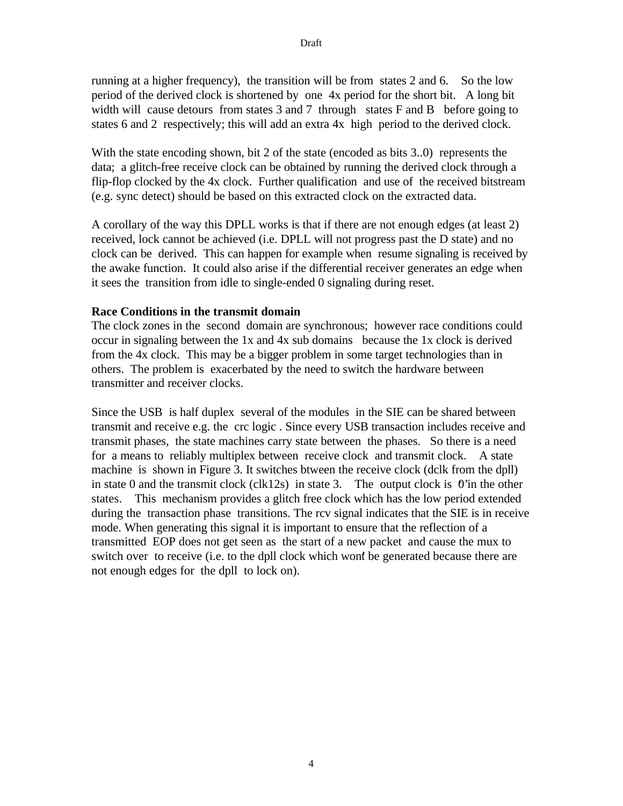running at a higher frequency), the transition will be from states 2 and 6. So the low period of the derived clock is shortened by one 4x period for the short bit. A long bit width will cause detours from states 3 and 7 through states F and B before going to states 6 and 2 respectively; this will add an extra 4x high period to the derived clock.

With the state encoding shown, bit 2 of the state (encoded as bits 3..0) represents the data; a glitch-free receive clock can be obtained by running the derived clock through a flip-flop clocked by the 4x clock. Further qualification and use of the received bitstream (e.g. sync detect) should be based on this extracted clock on the extracted data.

A corollary of the way this DPLL works is that if there are not enough edges (at least 2) received, lock cannot be achieved (i.e. DPLL will not progress past the D state) and no clock can be derived. This can happen for example when resume signaling is received by the awake function. It could also arise if the differential receiver generates an edge when it sees the transition from idle to single-ended 0 signaling during reset.

### **Race Conditions in the transmit domain**

The clock zones in the second domain are synchronous; however race conditions could occur in signaling between the 1x and 4x sub domains because the 1x clock is derived from the 4x clock. This may be a bigger problem in some target technologies than in others. The problem is exacerbated by the need to switch the hardware between transmitter and receiver clocks.

Since the USB is half duplex several of the modules in the SIE can be shared between transmit and receive e.g. the crc logic . Since every USB transaction includes receive and transmit phases, the state machines carry state between the phases. So there is a need for a means to reliably multiplex between receive clock and transmit clock. A state machine is shown in Figure 3. It switches btween the receive clock (dclk from the dpll) in state 0 and the transmit clock (clk12s) in state 3. The output clock is  $0$ ' in the other states. This mechanism provides a glitch free clock which has the low period extended during the transaction phase transitions. The rcv signal indicates that the SIE is in receive mode. When generating this signal it is important to ensure that the reflection of a transmitted EOP does not get seen as the start of a new packet and cause the mux to switch over to receive (i.e. to the dpll clock which won't be generated because there are not enough edges for the dpll to lock on).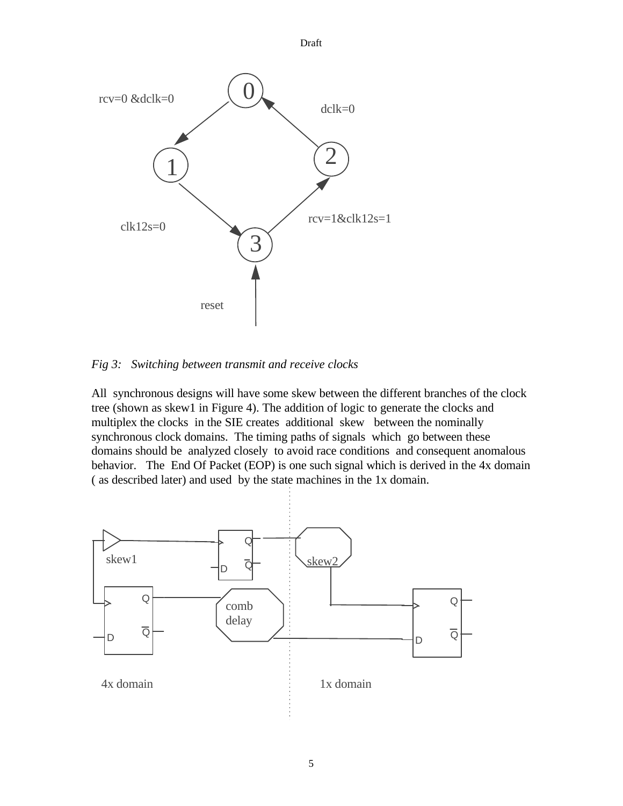1 3 3 2  $clk12s=0$ rcv=0 &dclk=0 dclk=0 rcv=1&clk12s=1 0 reset

*Fig 3: Switching between transmit and receive clocks*

All synchronous designs will have some skew between the different branches of the clock tree (shown as skew1 in Figure 4). The addition of logic to generate the clocks and multiplex the clocks in the SIE creates additional skew between the nominally synchronous clock domains. The timing paths of signals which go between these domains should be analyzed closely to avoid race conditions and consequent anomalous behavior. The End Of Packet (EOP) is one such signal which is derived in the 4x domain ( as described later) and used by the state machines in the 1x domain.

Draft

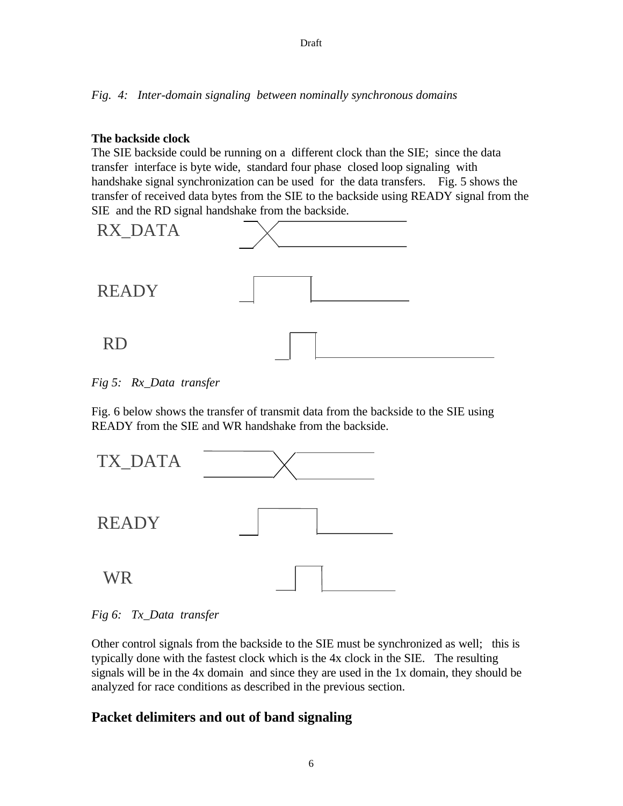#### Draft

*Fig. 4: Inter-domain signaling between nominally synchronous domains*

### **The backside clock**

The SIE backside could be running on a different clock than the SIE; since the data transfer interface is byte wide, standard four phase closed loop signaling with handshake signal synchronization can be used for the data transfers. Fig. 5 shows the transfer of received data bytes from the SIE to the backside using READY signal from the SIE and the RD signal handshake from the backside.



*Fig 5: Rx\_Data transfer*

Fig. 6 below shows the transfer of transmit data from the backside to the SIE using READY from the SIE and WR handshake from the backside.



*Fig 6: Tx\_Data transfer*

Other control signals from the backside to the SIE must be synchronized as well; this is typically done with the fastest clock which is the 4x clock in the SIE. The resulting signals will be in the 4x domain and since they are used in the 1x domain, they should be analyzed for race conditions as described in the previous section.

# **Packet delimiters and out of band signaling**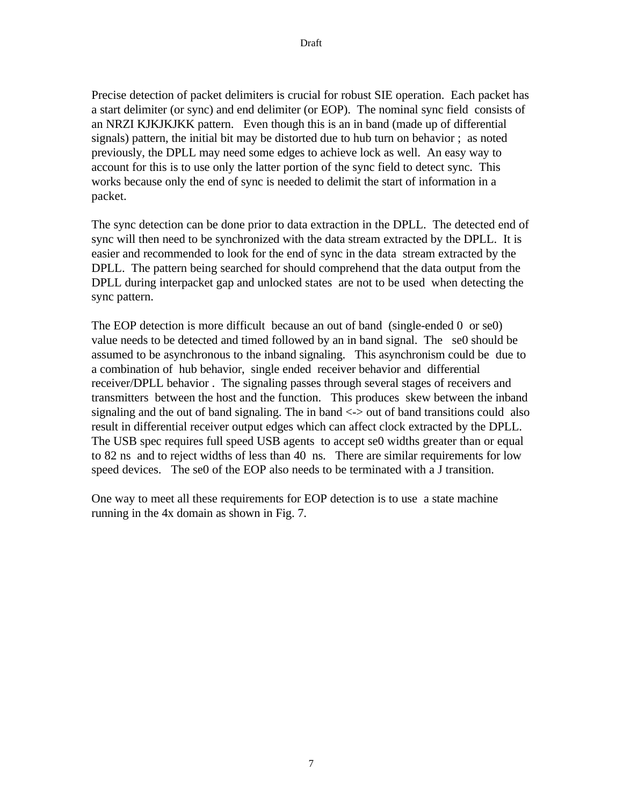Precise detection of packet delimiters is crucial for robust SIE operation. Each packet has a start delimiter (or sync) and end delimiter (or EOP). The nominal sync field consists of an NRZI KJKJKJKK pattern. Even though this is an in band (made up of differential signals) pattern, the initial bit may be distorted due to hub turn on behavior ; as noted previously, the DPLL may need some edges to achieve lock as well. An easy way to account for this is to use only the latter portion of the sync field to detect sync. This works because only the end of sync is needed to delimit the start of information in a packet.

The sync detection can be done prior to data extraction in the DPLL. The detected end of sync will then need to be synchronized with the data stream extracted by the DPLL. It is easier and recommended to look for the end of sync in the data stream extracted by the DPLL. The pattern being searched for should comprehend that the data output from the DPLL during interpacket gap and unlocked states are not to be used when detecting the sync pattern.

The EOP detection is more difficult because an out of band (single-ended 0 or se0) value needs to be detected and timed followed by an in band signal. The se0 should be assumed to be asynchronous to the inband signaling. This asynchronism could be due to a combination of hub behavior, single ended receiver behavior and differential receiver/DPLL behavior . The signaling passes through several stages of receivers and transmitters between the host and the function. This produces skew between the inband signaling and the out of band signaling. The in band  $\langle \rangle$  out of band transitions could also result in differential receiver output edges which can affect clock extracted by the DPLL. The USB spec requires full speed USB agents to accept se0 widths greater than or equal to 82 ns and to reject widths of less than 40 ns. There are similar requirements for low speed devices. The se0 of the EOP also needs to be terminated with a J transition.

One way to meet all these requirements for EOP detection is to use a state machine running in the 4x domain as shown in Fig. 7.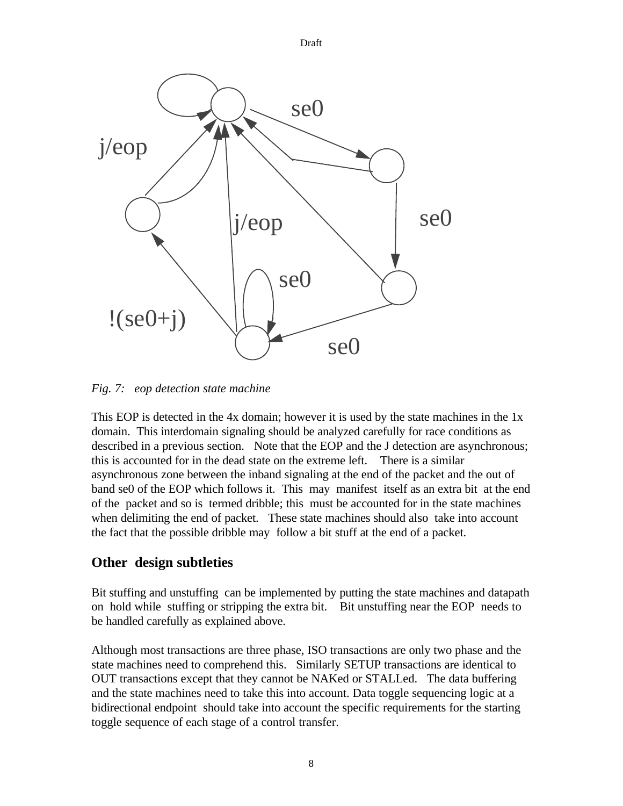se0 se0 se0 j/eop se0 j/eop  $!(se0+j)$ 

Draft

*Fig. 7: eop detection state machine*

This EOP is detected in the 4x domain; however it is used by the state machines in the 1x domain. This interdomain signaling should be analyzed carefully for race conditions as described in a previous section. Note that the EOP and the J detection are asynchronous; this is accounted for in the dead state on the extreme left. There is a similar asynchronous zone between the inband signaling at the end of the packet and the out of band se0 of the EOP which follows it. This may manifest itself as an extra bit at the end of the packet and so is termed dribble; this must be accounted for in the state machines when delimiting the end of packet. These state machines should also take into account the fact that the possible dribble may follow a bit stuff at the end of a packet.

# **Other design subtleties**

Bit stuffing and unstuffing can be implemented by putting the state machines and datapath on hold while stuffing or stripping the extra bit. Bit unstuffing near the EOP needs to be handled carefully as explained above.

Although most transactions are three phase, ISO transactions are only two phase and the state machines need to comprehend this. Similarly SETUP transactions are identical to OUT transactions except that they cannot be NAKed or STALLed. The data buffering and the state machines need to take this into account. Data toggle sequencing logic at a bidirectional endpoint should take into account the specific requirements for the starting toggle sequence of each stage of a control transfer.